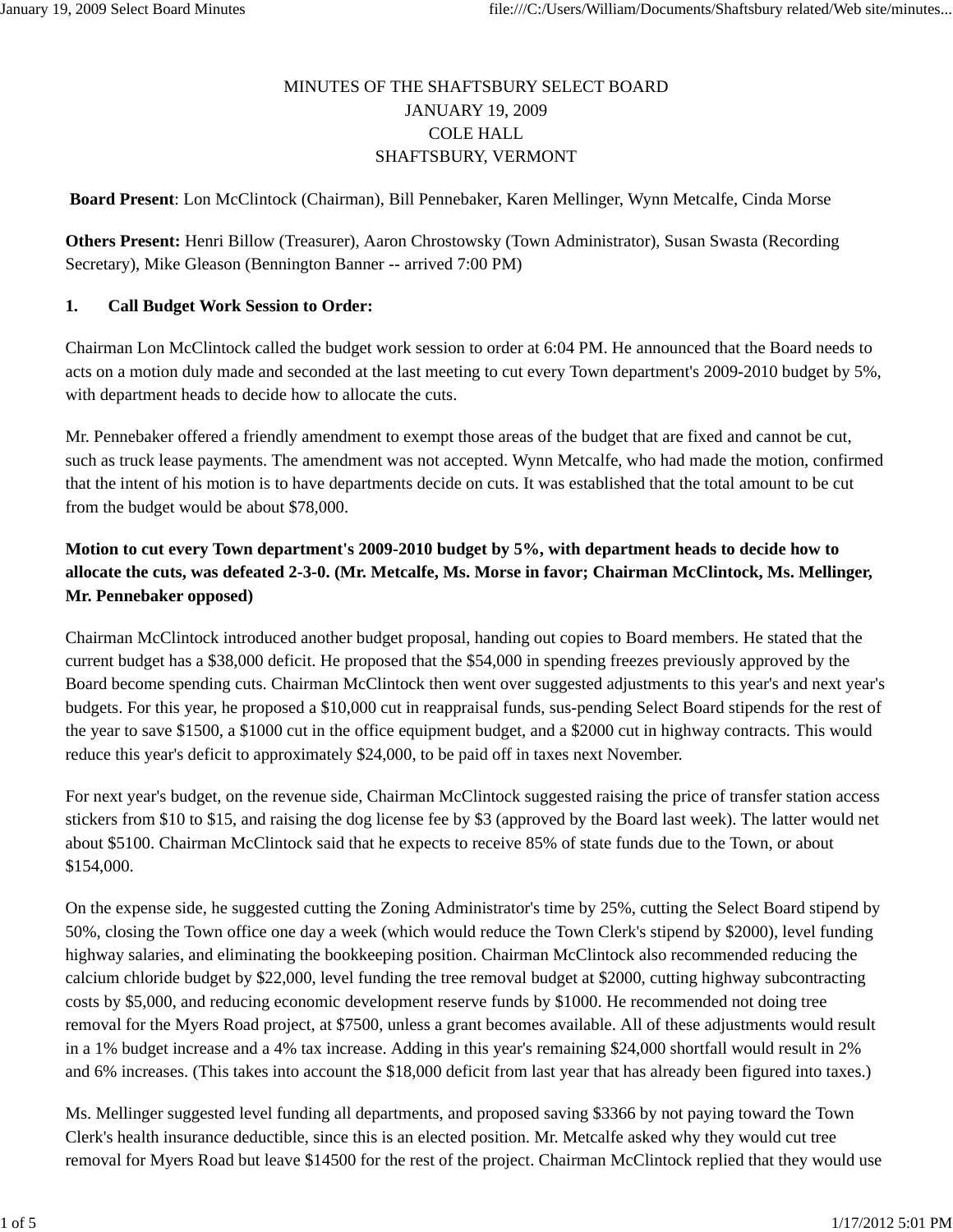# MINUTES OF THE SHAFTSBURY SELECT BOARD JANUARY 19, 2009 COLE HALL SHAFTSBURY, VERMONT

**Board Present**: Lon McClintock (Chairman), Bill Pennebaker, Karen Mellinger, Wynn Metcalfe, Cinda Morse

**Others Present:** Henri Billow (Treasurer), Aaron Chrostowsky (Town Administrator), Susan Swasta (Recording Secretary), Mike Gleason (Bennington Banner -- arrived 7:00 PM)

#### **1. Call Budget Work Session to Order:**

Chairman Lon McClintock called the budget work session to order at 6:04 PM. He announced that the Board needs to acts on a motion duly made and seconded at the last meeting to cut every Town department's 2009-2010 budget by 5%, with department heads to decide how to allocate the cuts.

Mr. Pennebaker offered a friendly amendment to exempt those areas of the budget that are fixed and cannot be cut, such as truck lease payments. The amendment was not accepted. Wynn Metcalfe, who had made the motion, confirmed that the intent of his motion is to have departments decide on cuts. It was established that the total amount to be cut from the budget would be about \$78,000.

# **Motion to cut every Town department's 2009-2010 budget by 5%, with department heads to decide how to allocate the cuts, was defeated 2-3-0. (Mr. Metcalfe, Ms. Morse in favor; Chairman McClintock, Ms. Mellinger, Mr. Pennebaker opposed)**

Chairman McClintock introduced another budget proposal, handing out copies to Board members. He stated that the current budget has a \$38,000 deficit. He proposed that the \$54,000 in spending freezes previously approved by the Board become spending cuts. Chairman McClintock then went over suggested adjustments to this year's and next year's budgets. For this year, he proposed a \$10,000 cut in reappraisal funds, sus-pending Select Board stipends for the rest of the year to save \$1500, a \$1000 cut in the office equipment budget, and a \$2000 cut in highway contracts. This would reduce this year's deficit to approximately \$24,000, to be paid off in taxes next November.

For next year's budget, on the revenue side, Chairman McClintock suggested raising the price of transfer station access stickers from \$10 to \$15, and raising the dog license fee by \$3 (approved by the Board last week). The latter would net about \$5100. Chairman McClintock said that he expects to receive 85% of state funds due to the Town, or about \$154,000.

On the expense side, he suggested cutting the Zoning Administrator's time by 25%, cutting the Select Board stipend by 50%, closing the Town office one day a week (which would reduce the Town Clerk's stipend by \$2000), level funding highway salaries, and eliminating the bookkeeping position. Chairman McClintock also recommended reducing the calcium chloride budget by \$22,000, level funding the tree removal budget at \$2000, cutting highway subcontracting costs by \$5,000, and reducing economic development reserve funds by \$1000. He recommended not doing tree removal for the Myers Road project, at \$7500, unless a grant becomes available. All of these adjustments would result in a 1% budget increase and a 4% tax increase. Adding in this year's remaining \$24,000 shortfall would result in 2% and 6% increases. (This takes into account the \$18,000 deficit from last year that has already been figured into taxes.)

Ms. Mellinger suggested level funding all departments, and proposed saving \$3366 by not paying toward the Town Clerk's health insurance deductible, since this is an elected position. Mr. Metcalfe asked why they would cut tree removal for Myers Road but leave \$14500 for the rest of the project. Chairman McClintock replied that they would use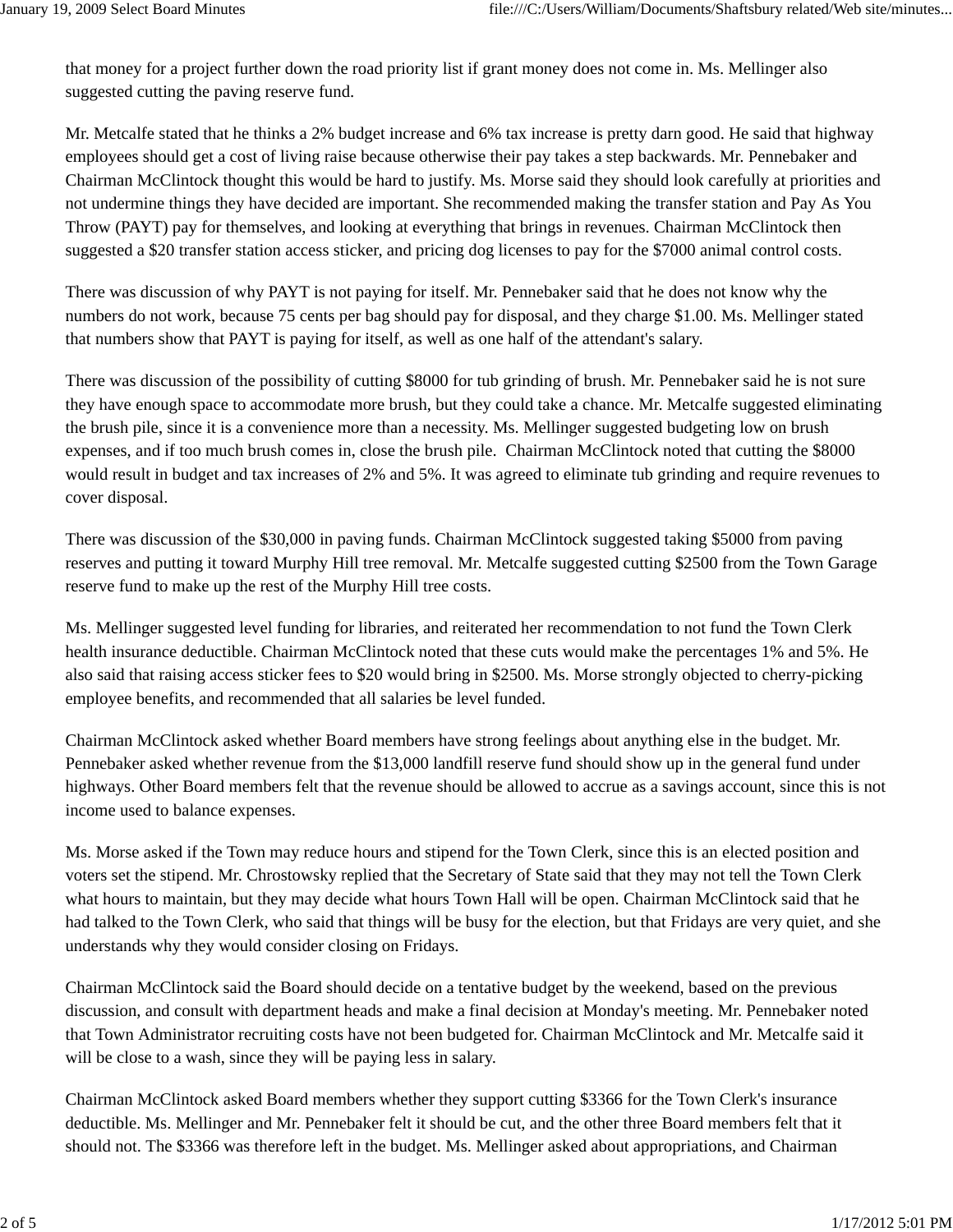that money for a project further down the road priority list if grant money does not come in. Ms. Mellinger also suggested cutting the paving reserve fund.

Mr. Metcalfe stated that he thinks a 2% budget increase and 6% tax increase is pretty darn good. He said that highway employees should get a cost of living raise because otherwise their pay takes a step backwards. Mr. Pennebaker and Chairman McClintock thought this would be hard to justify. Ms. Morse said they should look carefully at priorities and not undermine things they have decided are important. She recommended making the transfer station and Pay As You Throw (PAYT) pay for themselves, and looking at everything that brings in revenues. Chairman McClintock then suggested a \$20 transfer station access sticker, and pricing dog licenses to pay for the \$7000 animal control costs.

There was discussion of why PAYT is not paying for itself. Mr. Pennebaker said that he does not know why the numbers do not work, because 75 cents per bag should pay for disposal, and they charge \$1.00. Ms. Mellinger stated that numbers show that PAYT is paying for itself, as well as one half of the attendant's salary.

There was discussion of the possibility of cutting \$8000 for tub grinding of brush. Mr. Pennebaker said he is not sure they have enough space to accommodate more brush, but they could take a chance. Mr. Metcalfe suggested eliminating the brush pile, since it is a convenience more than a necessity. Ms. Mellinger suggested budgeting low on brush expenses, and if too much brush comes in, close the brush pile. Chairman McClintock noted that cutting the \$8000 would result in budget and tax increases of 2% and 5%. It was agreed to eliminate tub grinding and require revenues to cover disposal.

There was discussion of the \$30,000 in paving funds. Chairman McClintock suggested taking \$5000 from paving reserves and putting it toward Murphy Hill tree removal. Mr. Metcalfe suggested cutting \$2500 from the Town Garage reserve fund to make up the rest of the Murphy Hill tree costs.

Ms. Mellinger suggested level funding for libraries, and reiterated her recommendation to not fund the Town Clerk health insurance deductible. Chairman McClintock noted that these cuts would make the percentages 1% and 5%. He also said that raising access sticker fees to \$20 would bring in \$2500. Ms. Morse strongly objected to cherry-picking employee benefits, and recommended that all salaries be level funded.

Chairman McClintock asked whether Board members have strong feelings about anything else in the budget. Mr. Pennebaker asked whether revenue from the \$13,000 landfill reserve fund should show up in the general fund under highways. Other Board members felt that the revenue should be allowed to accrue as a savings account, since this is not income used to balance expenses.

Ms. Morse asked if the Town may reduce hours and stipend for the Town Clerk, since this is an elected position and voters set the stipend. Mr. Chrostowsky replied that the Secretary of State said that they may not tell the Town Clerk what hours to maintain, but they may decide what hours Town Hall will be open. Chairman McClintock said that he had talked to the Town Clerk, who said that things will be busy for the election, but that Fridays are very quiet, and she understands why they would consider closing on Fridays.

Chairman McClintock said the Board should decide on a tentative budget by the weekend, based on the previous discussion, and consult with department heads and make a final decision at Monday's meeting. Mr. Pennebaker noted that Town Administrator recruiting costs have not been budgeted for. Chairman McClintock and Mr. Metcalfe said it will be close to a wash, since they will be paying less in salary.

Chairman McClintock asked Board members whether they support cutting \$3366 for the Town Clerk's insurance deductible. Ms. Mellinger and Mr. Pennebaker felt it should be cut, and the other three Board members felt that it should not. The \$3366 was therefore left in the budget. Ms. Mellinger asked about appropriations, and Chairman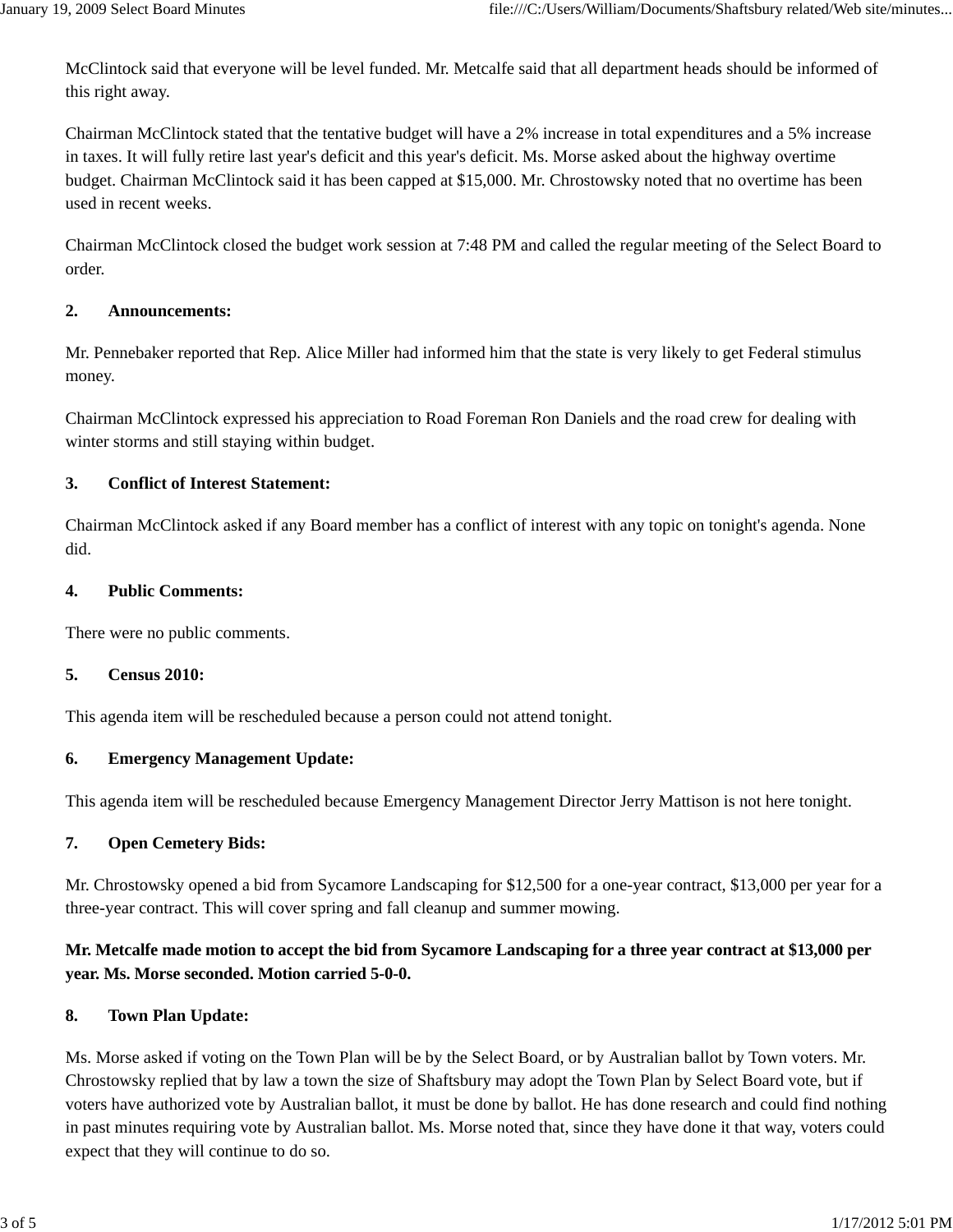McClintock said that everyone will be level funded. Mr. Metcalfe said that all department heads should be informed of this right away.

Chairman McClintock stated that the tentative budget will have a 2% increase in total expenditures and a 5% increase in taxes. It will fully retire last year's deficit and this year's deficit. Ms. Morse asked about the highway overtime budget. Chairman McClintock said it has been capped at \$15,000. Mr. Chrostowsky noted that no overtime has been used in recent weeks.

Chairman McClintock closed the budget work session at 7:48 PM and called the regular meeting of the Select Board to order.

### **2. Announcements:**

Mr. Pennebaker reported that Rep. Alice Miller had informed him that the state is very likely to get Federal stimulus money.

Chairman McClintock expressed his appreciation to Road Foreman Ron Daniels and the road crew for dealing with winter storms and still staying within budget.

## **3. Conflict of Interest Statement:**

Chairman McClintock asked if any Board member has a conflict of interest with any topic on tonight's agenda. None did.

### **4. Public Comments:**

There were no public comments.

### **5. Census 2010:**

This agenda item will be rescheduled because a person could not attend tonight.

## **6. Emergency Management Update:**

This agenda item will be rescheduled because Emergency Management Director Jerry Mattison is not here tonight.

## **7. Open Cemetery Bids:**

Mr. Chrostowsky opened a bid from Sycamore Landscaping for \$12,500 for a one-year contract, \$13,000 per year for a three-year contract. This will cover spring and fall cleanup and summer mowing.

# **Mr. Metcalfe made motion to accept the bid from Sycamore Landscaping for a three year contract at \$13,000 per year. Ms. Morse seconded. Motion carried 5-0-0.**

## **8. Town Plan Update:**

Ms. Morse asked if voting on the Town Plan will be by the Select Board, or by Australian ballot by Town voters. Mr. Chrostowsky replied that by law a town the size of Shaftsbury may adopt the Town Plan by Select Board vote, but if voters have authorized vote by Australian ballot, it must be done by ballot. He has done research and could find nothing in past minutes requiring vote by Australian ballot. Ms. Morse noted that, since they have done it that way, voters could expect that they will continue to do so.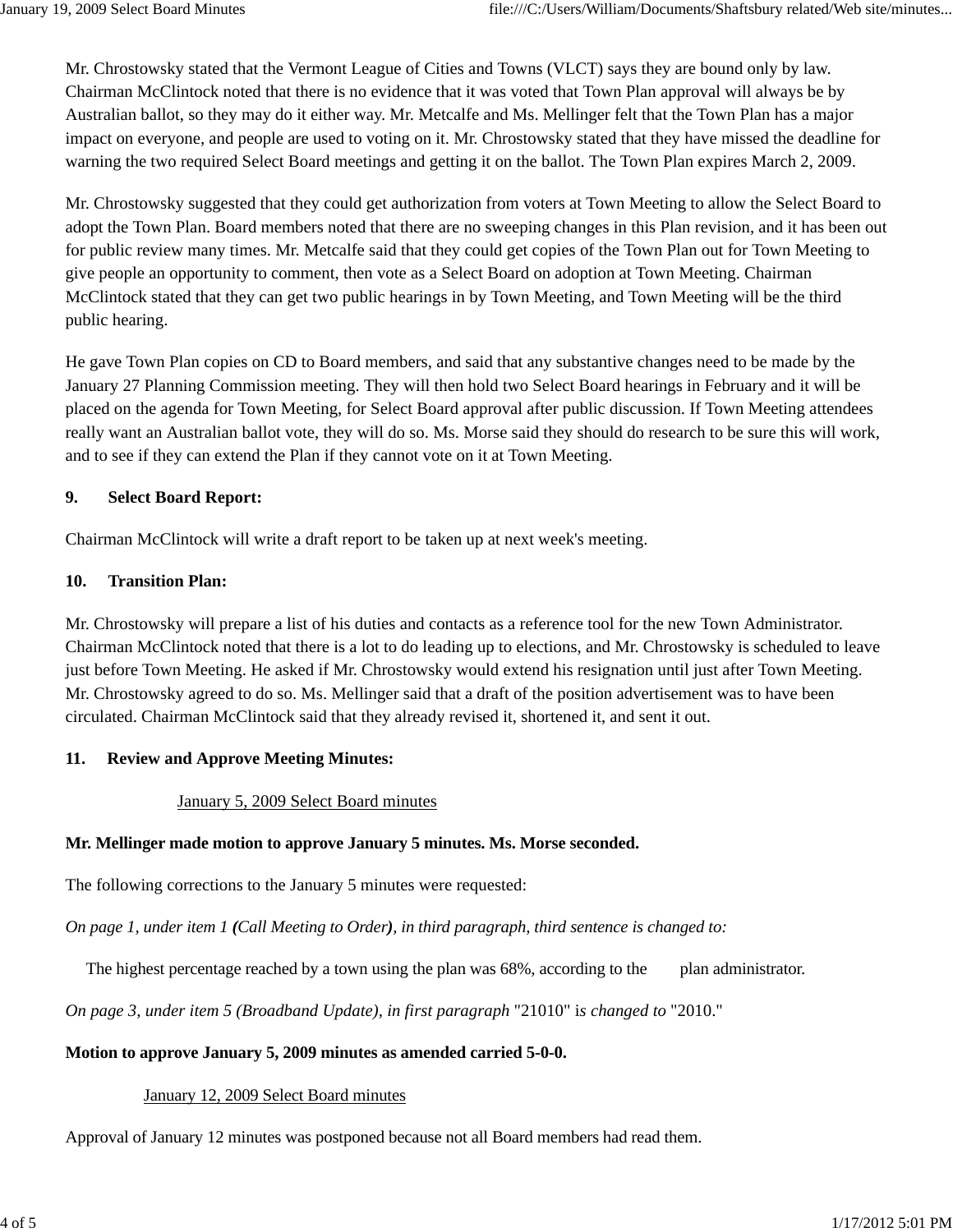Mr. Chrostowsky stated that the Vermont League of Cities and Towns (VLCT) says they are bound only by law. Chairman McClintock noted that there is no evidence that it was voted that Town Plan approval will always be by Australian ballot, so they may do it either way. Mr. Metcalfe and Ms. Mellinger felt that the Town Plan has a major impact on everyone, and people are used to voting on it. Mr. Chrostowsky stated that they have missed the deadline for warning the two required Select Board meetings and getting it on the ballot. The Town Plan expires March 2, 2009.

Mr. Chrostowsky suggested that they could get authorization from voters at Town Meeting to allow the Select Board to adopt the Town Plan. Board members noted that there are no sweeping changes in this Plan revision, and it has been out for public review many times. Mr. Metcalfe said that they could get copies of the Town Plan out for Town Meeting to give people an opportunity to comment, then vote as a Select Board on adoption at Town Meeting. Chairman McClintock stated that they can get two public hearings in by Town Meeting, and Town Meeting will be the third public hearing.

He gave Town Plan copies on CD to Board members, and said that any substantive changes need to be made by the January 27 Planning Commission meeting. They will then hold two Select Board hearings in February and it will be placed on the agenda for Town Meeting, for Select Board approval after public discussion. If Town Meeting attendees really want an Australian ballot vote, they will do so. Ms. Morse said they should do research to be sure this will work, and to see if they can extend the Plan if they cannot vote on it at Town Meeting.

### **9. Select Board Report:**

Chairman McClintock will write a draft report to be taken up at next week's meeting.

### **10. Transition Plan:**

Mr. Chrostowsky will prepare a list of his duties and contacts as a reference tool for the new Town Administrator. Chairman McClintock noted that there is a lot to do leading up to elections, and Mr. Chrostowsky is scheduled to leave just before Town Meeting. He asked if Mr. Chrostowsky would extend his resignation until just after Town Meeting. Mr. Chrostowsky agreed to do so. Ms. Mellinger said that a draft of the position advertisement was to have been circulated. Chairman McClintock said that they already revised it, shortened it, and sent it out.

### **11. Review and Approve Meeting Minutes:**

### January 5, 2009 Select Board minutes

## **Mr. Mellinger made motion to approve January 5 minutes. Ms. Morse seconded.**

The following corrections to the January 5 minutes were requested:

*On page 1, under item 1 (Call Meeting to Order), in third paragraph, third sentence is changed to:*

The highest percentage reached by a town using the plan was 68%, according to the plan administrator.

*On page 3, under item 5 (Broadband Update), in first paragraph* "21010" i*s changed to* "2010."

### **Motion to approve January 5, 2009 minutes as amended carried 5-0-0.**

### January 12, 2009 Select Board minutes

Approval of January 12 minutes was postponed because not all Board members had read them.